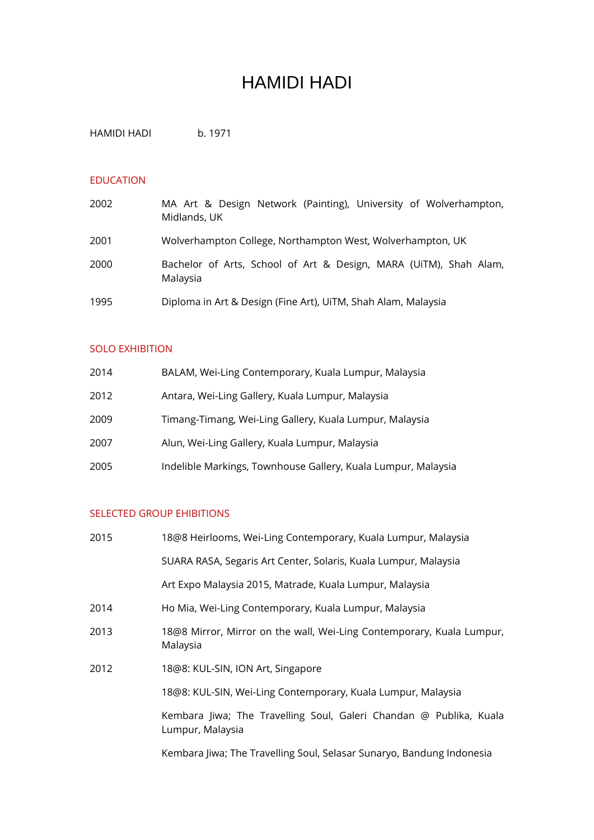# HAMIDI HADI

HAMIDI HADI b. 1971

#### EDUCATION

| 2002 | MA Art & Design Network (Painting), University of Wolverhampton,<br>Midlands, UK |
|------|----------------------------------------------------------------------------------|
| 2001 | Wolverhampton College, Northampton West, Wolverhampton, UK                       |
| 2000 | Bachelor of Arts, School of Art & Design, MARA (UiTM), Shah Alam,<br>Malaysia    |
| 1995 | Diploma in Art & Design (Fine Art), UiTM, Shah Alam, Malaysia                    |

#### SOLO EXHIBITION

| 2014 | BALAM, Wei-Ling Contemporary, Kuala Lumpur, Malaysia          |
|------|---------------------------------------------------------------|
| 2012 | Antara, Wei-Ling Gallery, Kuala Lumpur, Malaysia              |
| 2009 | Timang-Timang, Wei-Ling Gallery, Kuala Lumpur, Malaysia       |
| 2007 | Alun, Wei-Ling Gallery, Kuala Lumpur, Malaysia                |
| 2005 | Indelible Markings, Townhouse Gallery, Kuala Lumpur, Malaysia |

#### SELECTED GROUP EHIBITIONS

| 2015 | 18@8 Heirlooms, Wei-Ling Contemporary, Kuala Lumpur, Malaysia                          |
|------|----------------------------------------------------------------------------------------|
|      | SUARA RASA, Segaris Art Center, Solaris, Kuala Lumpur, Malaysia                        |
|      | Art Expo Malaysia 2015, Matrade, Kuala Lumpur, Malaysia                                |
| 2014 | Ho Mia, Wei-Ling Contemporary, Kuala Lumpur, Malaysia                                  |
| 2013 | 18@8 Mirror, Mirror on the wall, Wei-Ling Contemporary, Kuala Lumpur,<br>Malaysia      |
| 2012 | 18@8: KUL-SIN, ION Art, Singapore                                                      |
|      | 18@8: KUL-SIN, Wei-Ling Contemporary, Kuala Lumpur, Malaysia                           |
|      | Kembara Jiwa; The Travelling Soul, Galeri Chandan @ Publika, Kuala<br>Lumpur, Malaysia |
|      | Kembara Jiwa; The Travelling Soul, Selasar Sunaryo, Bandung Indonesia                  |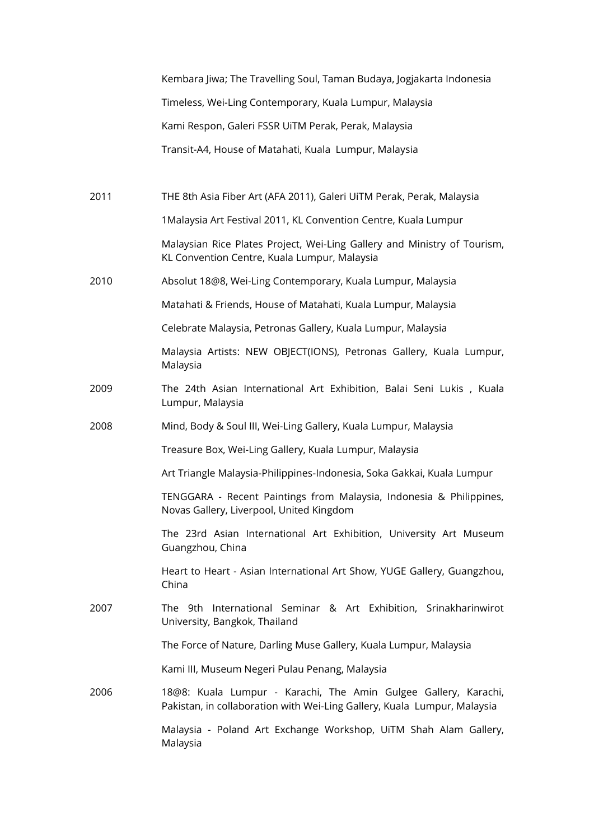|      | Kembara Jiwa; The Travelling Soul, Taman Budaya, Jogjakarta Indonesia                                                                       |
|------|---------------------------------------------------------------------------------------------------------------------------------------------|
|      | Timeless, Wei-Ling Contemporary, Kuala Lumpur, Malaysia                                                                                     |
|      | Kami Respon, Galeri FSSR UiTM Perak, Perak, Malaysia                                                                                        |
|      | Transit-A4, House of Matahati, Kuala Lumpur, Malaysia                                                                                       |
|      |                                                                                                                                             |
| 2011 | THE 8th Asia Fiber Art (AFA 2011), Galeri UiTM Perak, Perak, Malaysia                                                                       |
|      | 1Malaysia Art Festival 2011, KL Convention Centre, Kuala Lumpur                                                                             |
|      | Malaysian Rice Plates Project, Wei-Ling Gallery and Ministry of Tourism,<br>KL Convention Centre, Kuala Lumpur, Malaysia                    |
| 2010 | Absolut 18@8, Wei-Ling Contemporary, Kuala Lumpur, Malaysia                                                                                 |
|      | Matahati & Friends, House of Matahati, Kuala Lumpur, Malaysia                                                                               |
|      | Celebrate Malaysia, Petronas Gallery, Kuala Lumpur, Malaysia                                                                                |
|      | Malaysia Artists: NEW OBJECT(IONS), Petronas Gallery, Kuala Lumpur,<br>Malaysia                                                             |
| 2009 | The 24th Asian International Art Exhibition, Balai Seni Lukis, Kuala<br>Lumpur, Malaysia                                                    |
| 2008 | Mind, Body & Soul III, Wei-Ling Gallery, Kuala Lumpur, Malaysia                                                                             |
|      | Treasure Box, Wei-Ling Gallery, Kuala Lumpur, Malaysia                                                                                      |
|      | Art Triangle Malaysia-Philippines-Indonesia, Soka Gakkai, Kuala Lumpur                                                                      |
|      | TENGGARA - Recent Paintings from Malaysia, Indonesia & Philippines,<br>Novas Gallery, Liverpool, United Kingdom                             |
|      | The 23rd Asian International Art Exhibition, University Art Museum<br>Guangzhou, China                                                      |
|      | Heart to Heart - Asian International Art Show, YUGE Gallery, Guangzhou,<br>China                                                            |
| 2007 | The 9th International Seminar & Art Exhibition, Srinakharinwirot<br>University, Bangkok, Thailand                                           |
|      | The Force of Nature, Darling Muse Gallery, Kuala Lumpur, Malaysia                                                                           |
|      | Kami III, Museum Negeri Pulau Penang, Malaysia                                                                                              |
| 2006 | 18@8: Kuala Lumpur - Karachi, The Amin Gulgee Gallery, Karachi,<br>Pakistan, in collaboration with Wei-Ling Gallery, Kuala Lumpur, Malaysia |
|      | Malaysia - Poland Art Exchange Workshop, UiTM Shah Alam Gallery,<br>Malaysia                                                                |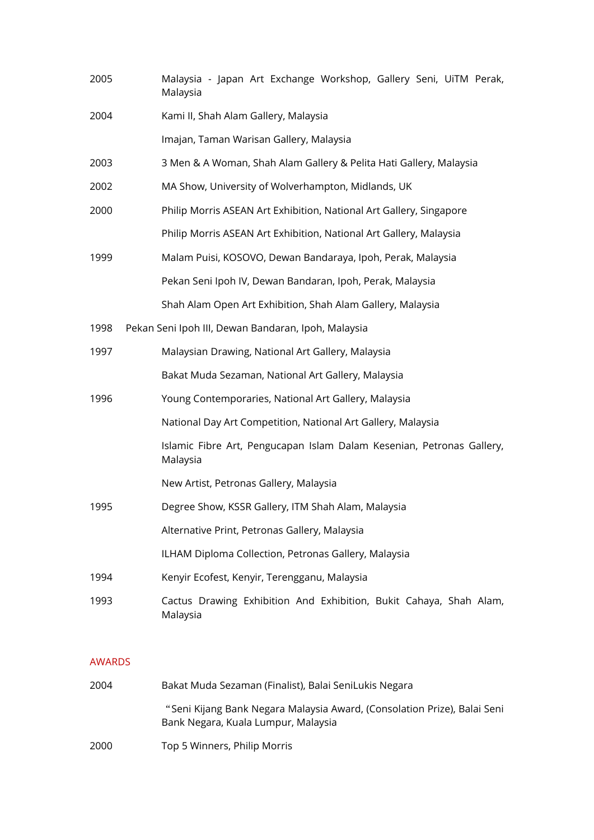| 2005 | Malaysia - Japan Art Exchange Workshop, Gallery Seni, UiTM Perak,<br>Malaysia     |
|------|-----------------------------------------------------------------------------------|
| 2004 | Kami II, Shah Alam Gallery, Malaysia                                              |
|      | Imajan, Taman Warisan Gallery, Malaysia                                           |
| 2003 | 3 Men & A Woman, Shah Alam Gallery & Pelita Hati Gallery, Malaysia                |
| 2002 | MA Show, University of Wolverhampton, Midlands, UK                                |
| 2000 | Philip Morris ASEAN Art Exhibition, National Art Gallery, Singapore               |
|      | Philip Morris ASEAN Art Exhibition, National Art Gallery, Malaysia                |
| 1999 | Malam Puisi, KOSOVO, Dewan Bandaraya, Ipoh, Perak, Malaysia                       |
|      | Pekan Seni Ipoh IV, Dewan Bandaran, Ipoh, Perak, Malaysia                         |
|      | Shah Alam Open Art Exhibition, Shah Alam Gallery, Malaysia                        |
| 1998 | Pekan Seni Ipoh III, Dewan Bandaran, Ipoh, Malaysia                               |
| 1997 | Malaysian Drawing, National Art Gallery, Malaysia                                 |
|      | Bakat Muda Sezaman, National Art Gallery, Malaysia                                |
| 1996 | Young Contemporaries, National Art Gallery, Malaysia                              |
|      | National Day Art Competition, National Art Gallery, Malaysia                      |
|      | Islamic Fibre Art, Pengucapan Islam Dalam Kesenian, Petronas Gallery,<br>Malaysia |
|      | New Artist, Petronas Gallery, Malaysia                                            |
| 1995 | Degree Show, KSSR Gallery, ITM Shah Alam, Malaysia                                |
|      | Alternative Print, Petronas Gallery, Malaysia                                     |
|      | ILHAM Diploma Collection, Petronas Gallery, Malaysia                              |
| 1994 | Kenyir Ecofest, Kenyir, Terengganu, Malaysia                                      |
| 1993 | Cactus Drawing Exhibition And Exhibition, Bukit Cahaya, Shah Alam,<br>Malaysia    |

### AWARDS

| 2004 | Bakat Muda Sezaman (Finalist), Balai SeniLukis Negara                                                           |
|------|-----------------------------------------------------------------------------------------------------------------|
|      | "Seni Kijang Bank Negara Malaysia Award, (Consolation Prize), Balai Seni<br>Bank Negara, Kuala Lumpur, Malaysia |
| 2000 | Top 5 Winners, Philip Morris                                                                                    |